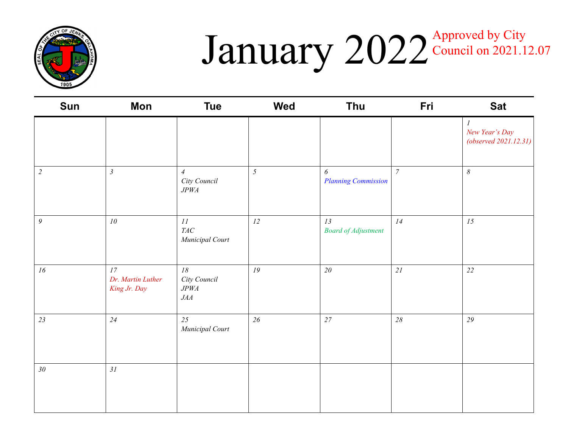

### $J$ anuary  $2022$ <sup>Approved by City</sup> Council on 2021.12.07

| Sun              | <b>Mon</b>                              | <b>Tue</b>                                      | <b>Wed</b>     | Thu                                                 | Fri            | <b>Sat</b>                                                     |
|------------------|-----------------------------------------|-------------------------------------------------|----------------|-----------------------------------------------------|----------------|----------------------------------------------------------------|
|                  |                                         |                                                 |                |                                                     |                | $\boldsymbol{l}$<br>New Year's Day<br>(observed $2021.12.31$ ) |
| $\sqrt{2}$       | $\mathfrak{Z}$                          | $\overline{4}$<br>City Council<br>$J P W\!A$    | $\mathfrak{I}$ | $\boldsymbol{\delta}$<br><b>Planning Commission</b> | $\overline{7}$ | $\boldsymbol{\delta}$                                          |
| $\boldsymbol{9}$ | ${\it 10}$                              | $\cal II$<br>$T\!A C$<br>Municipal Court        | 12             | 13<br><b>Board of Adjustment</b>                    | 14             | $15\,$                                                         |
| $16\,$           | 17<br>Dr. Martin Luther<br>King Jr. Day | $18$<br>City Council<br>$J P W\!A$<br>$J\!A\!A$ | 19             | $20\,$                                              | 21             | 22                                                             |
| 23               | 24                                      | 25<br>Municipal Court                           | 26             | 27                                                  | $28\,$         | 29                                                             |
| $30\,$           | 31                                      |                                                 |                |                                                     |                |                                                                |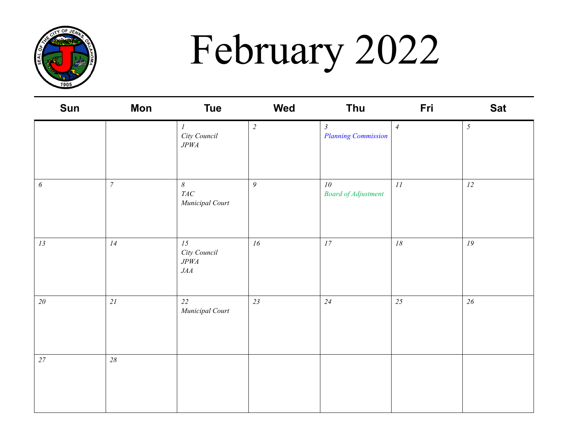

# February 2022

| Sun                   | <b>Mon</b>     | <b>Tue</b>                                           | Wed            | <b>Thu</b>                                   | Fri            | <b>Sat</b>     |
|-----------------------|----------------|------------------------------------------------------|----------------|----------------------------------------------|----------------|----------------|
|                       |                | $\cal I$<br>City Council<br>$J P W\!A$               | $\overline{2}$ | $\mathfrak{Z}$<br><b>Planning Commission</b> | $\overline{4}$ | $\mathfrak{H}$ |
| $\boldsymbol{\delta}$ | $\overline{7}$ | $\boldsymbol{\delta}$<br>$T\!A C$<br>Municipal Court | $\mathfrak g$  | $10\,$<br><b>Board of Adjustment</b>         | 11             | 12             |
| 13                    | 14             | 15<br>City Council<br>$J P W\!A$<br>$J\!A\!A$        | 16             | $\ensuremath{\mathit{17}}$                   | $18\,$         | ${\cal I}9$    |
| 20                    | $2\sqrt{l}$    | 22<br>Municipal Court                                | 23             | 24                                           | 25             | $26\,$         |
| 27                    | $28\,$         |                                                      |                |                                              |                |                |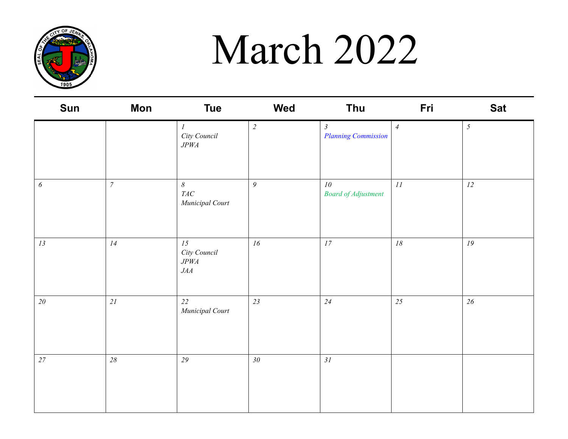

### March 2022

| <b>Sun</b> | Mon            | <b>Tue</b>                                           | Wed            | <b>Thu</b>                                   | Fri            | <b>Sat</b>     |
|------------|----------------|------------------------------------------------------|----------------|----------------------------------------------|----------------|----------------|
|            |                | $\cal I$<br>City Council<br>$J P W\!A$               | $\overline{c}$ | $\mathfrak{Z}$<br><b>Planning Commission</b> | $\overline{4}$ | $\mathfrak{I}$ |
| 6          | $\overline{7}$ | $\boldsymbol{\delta}$<br>$T\!A C$<br>Municipal Court | $\mathfrak{g}$ | 10<br><b>Board of Adjustment</b>             | 11             | 12             |
| 13         | 14             | 15<br>City Council<br>$J P W\!A$<br>$J\!A\!A$        | 16             | 17                                           | $18\,$         | 19             |
| 20         | 21             | 22<br>Municipal Court                                | 23             | 24                                           | 25             | 26             |
| $27\,$     | $28\,$         | $29\,$                                               | $30\,$         | 31                                           |                |                |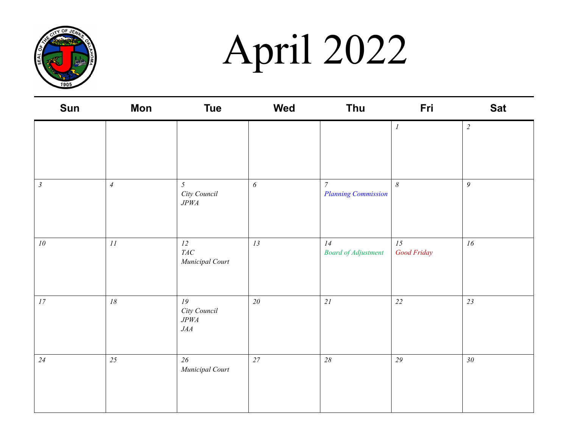

# April 2022

| <b>Sun</b>      | Mon            | <b>Tue</b>                                    | <b>Wed</b> | <b>Thu</b>                                   | Fri                        | <b>Sat</b>     |
|-----------------|----------------|-----------------------------------------------|------------|----------------------------------------------|----------------------------|----------------|
|                 |                |                                               |            |                                              | $\cal I$                   | $\overline{2}$ |
| $\mathfrak{Z}$  | $\overline{4}$ | $\mathfrak{H}$<br>City Council<br>$J P W\!A$  | $\epsilon$ | $\overline{7}$<br><b>Planning Commission</b> | $\boldsymbol{\mathcal{S}}$ | $\mathfrak{g}$ |
| 10 <sup>°</sup> | $\cal{H}$      | 12<br>$T\!A C$<br>Municipal Court             | 13         | 14<br><b>Board of Adjustment</b>             | 15<br>Good Friday          | 16             |
| 17              | $18\,$         | 19<br>City Council<br>$J P W\!A$<br>$J\!A\!A$ | 20         | $2\sqrt{l}$                                  | 22                         | 23             |
| 24              | 25             | 26<br>Municipal Court                         | 27         | $28\,$                                       | 29                         | $30\,$         |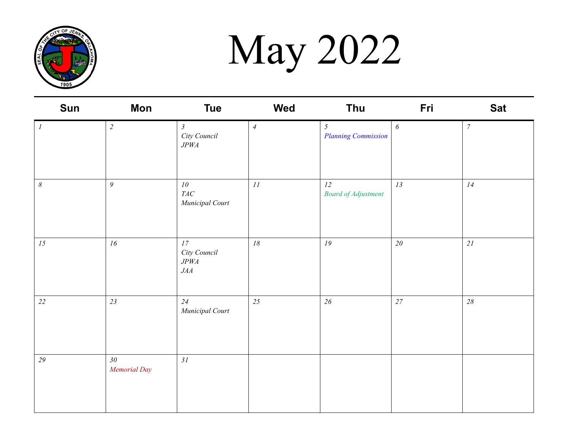

May 2022

| Sun                   | <b>Mon</b>             | <b>Tue</b>                                    | Wed            | Thu                              | Fri    | <b>Sat</b>       |
|-----------------------|------------------------|-----------------------------------------------|----------------|----------------------------------|--------|------------------|
| $\cal I$              | $\overline{2}$         | $\mathfrak{Z}$<br>City Council<br>JPWA        | $\overline{4}$ | 5<br><b>Planning Commission</b>  | 6      | $\boldsymbol{7}$ |
| $\boldsymbol{\delta}$ | 9                      | 10<br>$T\!A C$<br>Municipal Court             | $\cal II$      | 12<br><b>Board of Adjustment</b> | 13     | 14               |
| 15                    | $16$                   | 17<br>City Council<br>$J P W\!A$<br>$J\!A\!A$ | 18             | ${\it 19}$                       | $20\,$ | $2\sqrt{l}$      |
| 22                    | 23                     | 24<br>Municipal Court                         | 25             | $26\,$                           | $27\,$ | $28\,$           |
| 29                    | $30\,$<br>Memorial Day | 31                                            |                |                                  |        |                  |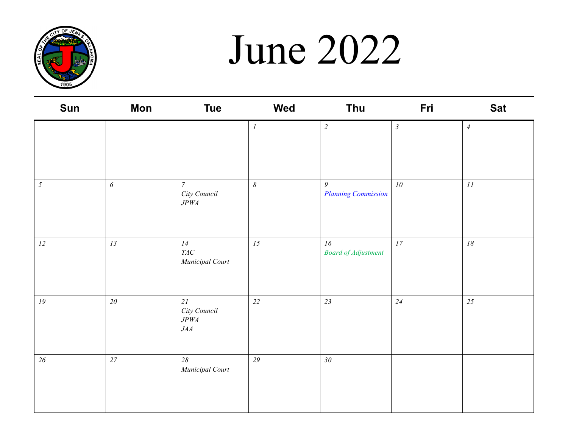

### June 2022

| Sun        | Mon        | <b>Tue</b>                                    | Wed              | Thu                              | Fri            | <b>Sat</b>     |
|------------|------------|-----------------------------------------------|------------------|----------------------------------|----------------|----------------|
|            |            |                                               | $\boldsymbol{l}$ | $\overline{2}$                   | $\mathfrak{Z}$ | $\overline{4}$ |
| $\sqrt{2}$ | $\epsilon$ | $\overline{7}$<br>City Council<br>$J P W\!A$  | $\delta$         | 9<br><b>Planning Commission</b>  | $10\,$         | II             |
| $12\,$     | 13         | 14<br>$T\!A C$<br>Municipal Court             | 15               | 16<br><b>Board of Adjustment</b> | $17\,$         | $18\,$         |
| $19\,$     | $2\theta$  | 21<br>City Council<br>$J P W\!A$<br>$J\!A\!A$ | 22               | 23                               | 24             | 25             |
| $26\,$     | $27\,$     | $28\,$<br>Municipal Court                     | 29               | 30 <sub>o</sub>                  |                |                |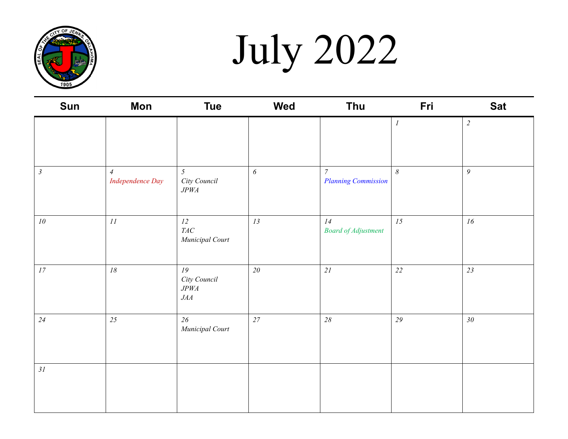

July 2022

| Sun                        | <b>Mon</b>                         | <b>Tue</b>                                          | <b>Wed</b>            | Thu                                          | Fri      | <b>Sat</b>      |
|----------------------------|------------------------------------|-----------------------------------------------------|-----------------------|----------------------------------------------|----------|-----------------|
|                            |                                    |                                                     |                       |                                              | $\cal I$ | $\overline{2}$  |
| $\mathfrak{Z}$             | $\overline{4}$<br>Independence Day | $\mathfrak{H}$<br>City Council<br>$J P W\!A$        | $\boldsymbol{\delta}$ | $\overline{7}$<br><b>Planning Commission</b> | $\delta$ | $\overline{9}$  |
| ${\it 10}$                 | $\cal II$                          | 12<br>$T\!A C$<br>Municipal Court                   | 13                    | 14<br><b>Board of Adjustment</b>             | 15       | 16              |
| $\ensuremath{\mathit{17}}$ | $18\,$                             | ${\it 19}$<br>City Council<br>$J P W\!A$<br>$J\! A$ | $20\,$                | 21                                           | $22\,$   | 23              |
| 24                         | 25                                 | $26\,$<br>Municipal Court                           | $27\,$                | $28\,$                                       | 29       | 30 <sub>1</sub> |
| 31                         |                                    |                                                     |                       |                                              |          |                 |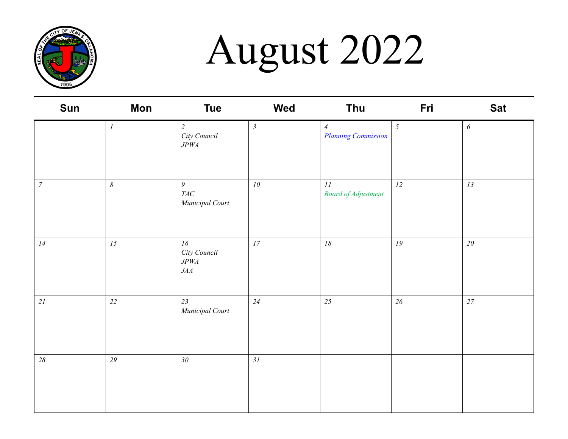

# August 2022

| Sun              | <b>Mon</b>            | <b>Tue</b>                                    | Wed            | Thu                                          | Fri            | <b>Sat</b> |
|------------------|-----------------------|-----------------------------------------------|----------------|----------------------------------------------|----------------|------------|
|                  | $\boldsymbol{l}$      | $\overline{c}$<br>City Council<br>$J P W\!A$  | $\mathfrak{Z}$ | $\overline{4}$<br><b>Planning Commission</b> | $\mathfrak{I}$ | 6          |
| $\boldsymbol{7}$ | $\boldsymbol{\delta}$ | $\mathfrak g$<br>$T\!A C$<br>Municipal Court  | 10             | $\cal II$<br><b>Board of Adjustment</b>      | 12             | 13         |
| 14               | 15                    | 16<br>City Council<br>$J P W\!A$<br>$J\!A\!A$ | 17             | $18\,$                                       | $19$           | $20\,$     |
| 21               | 22                    | 23<br>Municipal Court                         | 24             | 25                                           | $26\,$         | 27         |
| $28\,$           | 29                    | $30\,$                                        | 31             |                                              |                |            |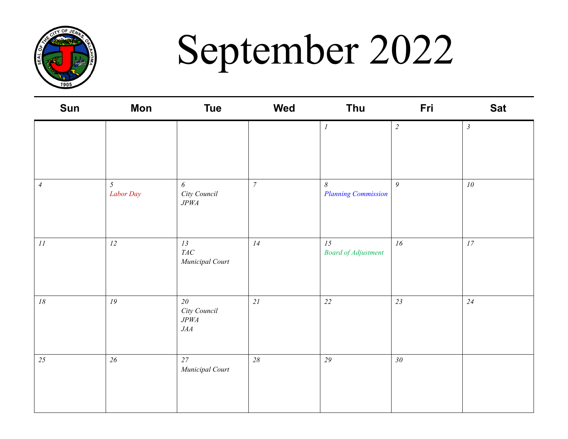

## September 2022

| Sun            | Mon                         | <b>Tue</b>                                        | Wed            | <b>Thu</b>                             | Fri             | <b>Sat</b>     |
|----------------|-----------------------------|---------------------------------------------------|----------------|----------------------------------------|-----------------|----------------|
|                |                             |                                                   |                | $\mathcal{I}$                          | $\overline{c}$  | $\mathfrak{Z}$ |
| $\overline{4}$ | $\mathfrak{H}$<br>Labor Day | 6<br>City Council<br>$J P W\!A$                   | $\overline{7}$ | $\delta$<br><b>Planning Commission</b> | $\overline{9}$  | 10             |
| $\cal II$      | 12                          | 13<br>$T\!A C$<br>Municipal Court                 | 14             | 15<br><b>Board of Adjustment</b>       | 16              | 17             |
| $18\,$         | 19                          | $20\,$<br>City Council<br>$J P W\!A$<br>$J\!A\!A$ | 21             | 22                                     | 23              | 24             |
| 25             | $26\,$                      | 27<br>Municipal Court                             | 28             | $29\,$                                 | 30 <sub>o</sub> |                |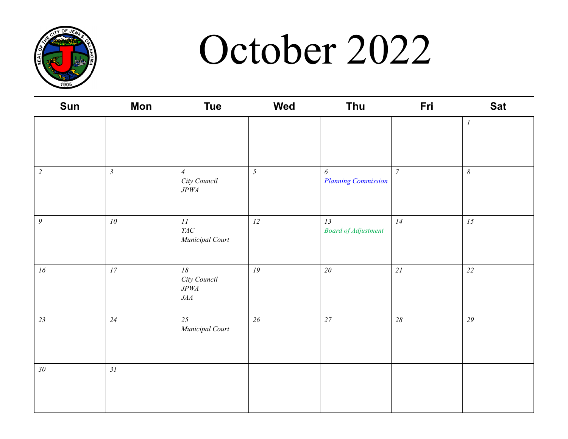

### October 2022

| Sun              | <b>Mon</b>                 | <b>Tue</b>                                        | Wed            | Thu                                                 | Fri            | <b>Sat</b>            |
|------------------|----------------------------|---------------------------------------------------|----------------|-----------------------------------------------------|----------------|-----------------------|
|                  |                            |                                                   |                |                                                     |                | $\boldsymbol{l}$      |
| $\sqrt{2}$       | $\mathfrak{Z}$             | $\overline{4}$<br>City Council<br>$J P W\!A$      | $\mathfrak{H}$ | $\boldsymbol{\delta}$<br><b>Planning Commission</b> | $\overline{7}$ | $\boldsymbol{\delta}$ |
| $\boldsymbol{9}$ | ${\it 10}$                 | 11<br>$T\!A C$<br>Municipal Court                 | 12             | 13<br><b>Board of Adjustment</b>                    | 14             | ${\it 15}$            |
| 16               | $\ensuremath{\mathit{17}}$ | $18\,$<br>City Council<br>$J P W\!A$<br>$J\!A\!A$ | 19             | $2\theta$                                           | 21             | $22\,$                |
| 23               | 24                         | 25<br>Municipal Court                             | 26             | $27\,$                                              | $28\,$         | 29                    |
| 30 <sub>o</sub>  | 31                         |                                                   |                |                                                     |                |                       |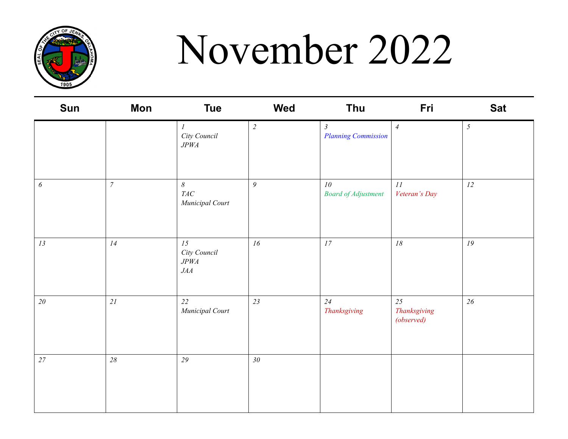

# November 2022

| <b>Sun</b>            | <b>Mon</b>       | <b>Tue</b>                                     | Wed            | <b>Thu</b>                                    | Fri                              | <b>Sat</b> |
|-----------------------|------------------|------------------------------------------------|----------------|-----------------------------------------------|----------------------------------|------------|
|                       |                  | $\boldsymbol{l}$<br>City Council<br>$J P W\!A$ | $\overline{2}$ | $\mathfrak{Z}$<br><b>Planning Commission</b>  | $\overline{4}$                   | $\sqrt{2}$ |
| $\boldsymbol{\delta}$ | $\boldsymbol{7}$ | $\delta$<br>$T\!A C$<br>Municipal Court        | $\mathfrak{g}$ | 10 <sup>°</sup><br><b>Board of Adjustment</b> | 11<br>Veteran's Day              | 12         |
| 13                    | 14               | 15<br>City Council<br>$J P W\!A$<br>$J\!A\!A$  | 16             | 17                                            | $18\,$                           | 19         |
| $20\,$                | 2I               | 22<br>Municipal Court                          | 23             | 24<br>Thanksgiving                            | 25<br>Thanksgiving<br>(observed) | 26         |
| 27                    | $28\,$           | 29                                             | $30\,$         |                                               |                                  |            |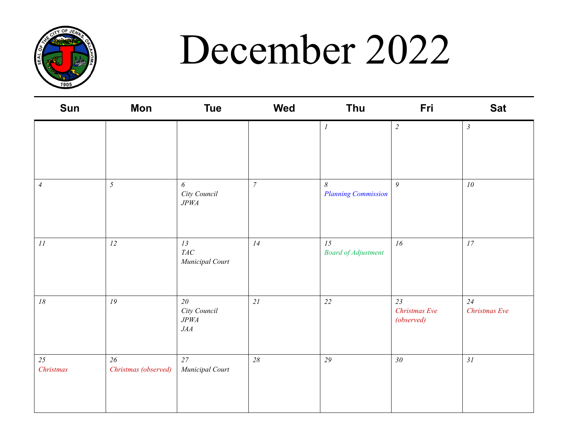

### December 2022

| <b>Sun</b>                 | Mon                        | <b>Tue</b>                                    | Wed              | Thu                                    | Fri                               | <b>Sat</b>          |
|----------------------------|----------------------------|-----------------------------------------------|------------------|----------------------------------------|-----------------------------------|---------------------|
|                            |                            |                                               |                  | $\cal I$                               | $\overline{c}$                    | $\mathfrak{Z}$      |
| $\ensuremath{\mathcal{A}}$ | $\mathfrak{H}$             | $\boldsymbol{\delta}$<br>City Council<br>JPWA | $\boldsymbol{7}$ | $\delta$<br><b>Planning Commission</b> | $\mathfrak{g}$                    | 10                  |
| $\cal II$                  | 12                         | 13<br>$T\!A C$<br>Municipal Court             | 14               | 15<br><b>Board of Adjustment</b>       | 16                                | 17                  |
| $18\,$                     | 19                         | $20\,$<br>City Council<br>JPWA<br>JAA         | 21               | 22                                     | 23<br>Christmas Eve<br>(observed) | 24<br>Christmas Eve |
| 25<br>Christmas            | 26<br>Christmas (observed) | 27<br>Municipal Court                         | 28               | 29                                     | 30 <sub>2</sub>                   | 31                  |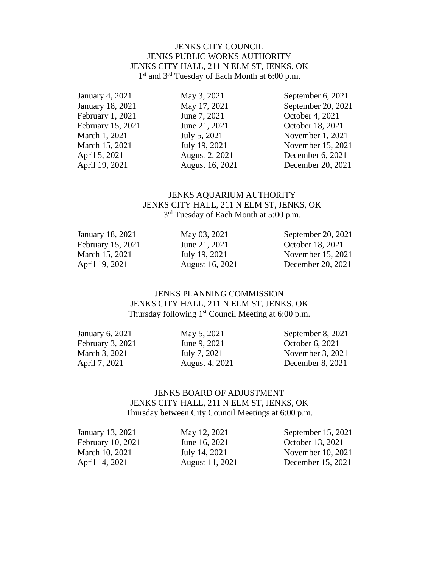#### JENKS CITY COUNCIL JENKS PUBLIC WORKS AUTHORITY JENKS CITY HALL, 211 N ELM ST, JENKS, OK 1<sup>st</sup> and 3<sup>rd</sup> Tuesday of Each Month at 6:00 p.m.

February 1, 2021 June 7, 2021 October 4, 2021

January 4, 2021 May 3, 2021 September 6, 2021 January 18, 2021 May 17, 2021 September 20, 2021 February 15, 2021 June 21, 2021 October 18, 2021 March 1, 2021 July 5, 2021 November 1, 2021 March 15, 2021 July 19, 2021 November 15, 2021 April 5, 2021 August 2, 2021 December 6, 2021 April 19, 2021 August 16, 2021 December 20, 2021

### JENKS AQUARIUM AUTHORITY JENKS CITY HALL, 211 N ELM ST, JENKS, OK 3<sup>rd</sup> Tuesday of Each Month at 5:00 p.m.

| January 18, 2021  | May 03, 2021    | September 20, 2021 |
|-------------------|-----------------|--------------------|
| February 15, 2021 | June 21, 2021   | October 18, 2021   |
| March 15, 2021    | July 19, 2021   | November 15, 2021  |
| April 19, 2021    | August 16, 2021 | December 20, 2021  |

#### JENKS PLANNING COMMISSION JENKS CITY HALL, 211 N ELM ST, JENKS, OK Thursday following 1<sup>st</sup> Council Meeting at 6:00 p.m.

| May 5, 2021    | September 8, 2021  |
|----------------|--------------------|
| June 9, 2021   | October 6, 2021    |
| July 7, 2021   | November $3, 2021$ |
| August 4, 2021 | December 8, 2021   |
|                |                    |

#### JENKS BOARD OF ADJUSTMENT JENKS CITY HALL, 211 N ELM ST, JENKS, OK Thursday between City Council Meetings at 6:00 p.m.

| May 12, 2021    | September 15, 2021 |
|-----------------|--------------------|
| June 16, 2021   | October 13, 2021   |
| July 14, 2021   | November 10, 2021  |
| August 11, 2021 | December 15, 2021  |
|                 |                    |